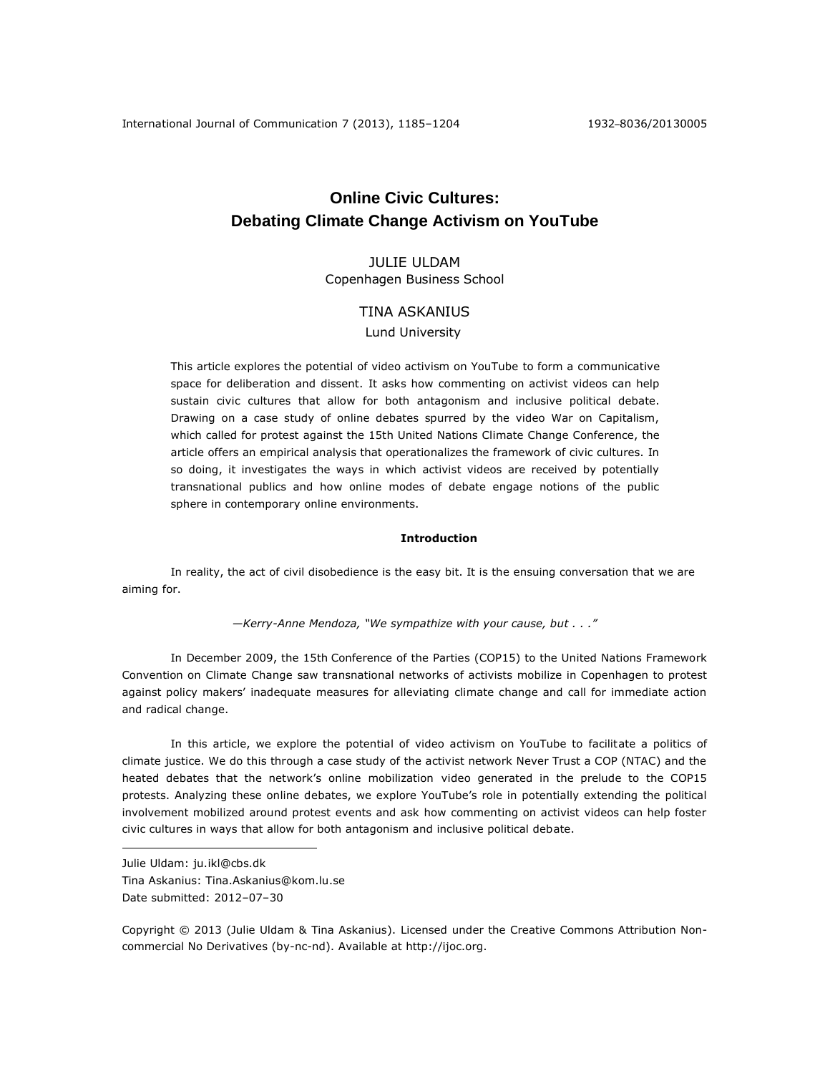# **Online Civic Cultures: Debating Climate Change Activism on YouTube**

JULIE ULDAM Copenhagen Business School

## TINA ASKANIUS

Lund University

This article explores the potential of video activism on YouTube to form a communicative space for deliberation and dissent. It asks how commenting on activist videos can help sustain civic cultures that allow for both antagonism and inclusive political debate. Drawing on a case study of online debates spurred by the video War on Capitalism, which called for protest against the 15th United Nations Climate Change Conference, the article offers an empirical analysis that operationalizes the framework of civic cultures. In so doing, it investigates the ways in which activist videos are received by potentially transnational publics and how online modes of debate engage notions of the public sphere in contemporary online environments.

## **Introduction**

In reality, the act of civil disobedience is the easy bit. It is the ensuing conversation that we are aiming for.

*—Kerry-Anne Mendoza, "We sympathize with your cause, but . . ."*

In December 2009, the 15th Conference of the Parties (COP15) to the United Nations Framework Convention on Climate Change saw transnational networks of activists mobilize in Copenhagen to protest against policy makers' inadequate measures for alleviating climate change and call for immediate action and radical change.

In this article, we explore the potential of video activism on YouTube to facilitate a politics of climate justice. We do this through a case study of the activist network Never Trust a COP (NTAC) and the heated debates that the network's online mobilization video generated in the prelude to the COP15 protests. Analyzing these online debates, we explore YouTube's role in potentially extending the political involvement mobilized around protest events and ask how commenting on activist videos can help foster civic cultures in ways that allow for both antagonism and inclusive political debate.

 $\overline{a}$ 

Copyright © 2013 (Julie Uldam & Tina Askanius). Licensed under the Creative Commons Attribution Noncommercial No Derivatives (by-nc-nd). Available at http://ijoc.org.

Julie Uldam: [ju.ikl@cbs.dk](mailto:ju.ikl@cbs.dk)

Tina Askanius: [Tina.Askanius@kom.lu.se](mailto:Tina.Askanius@kom.lu.se) Date submitted: 2012–07–30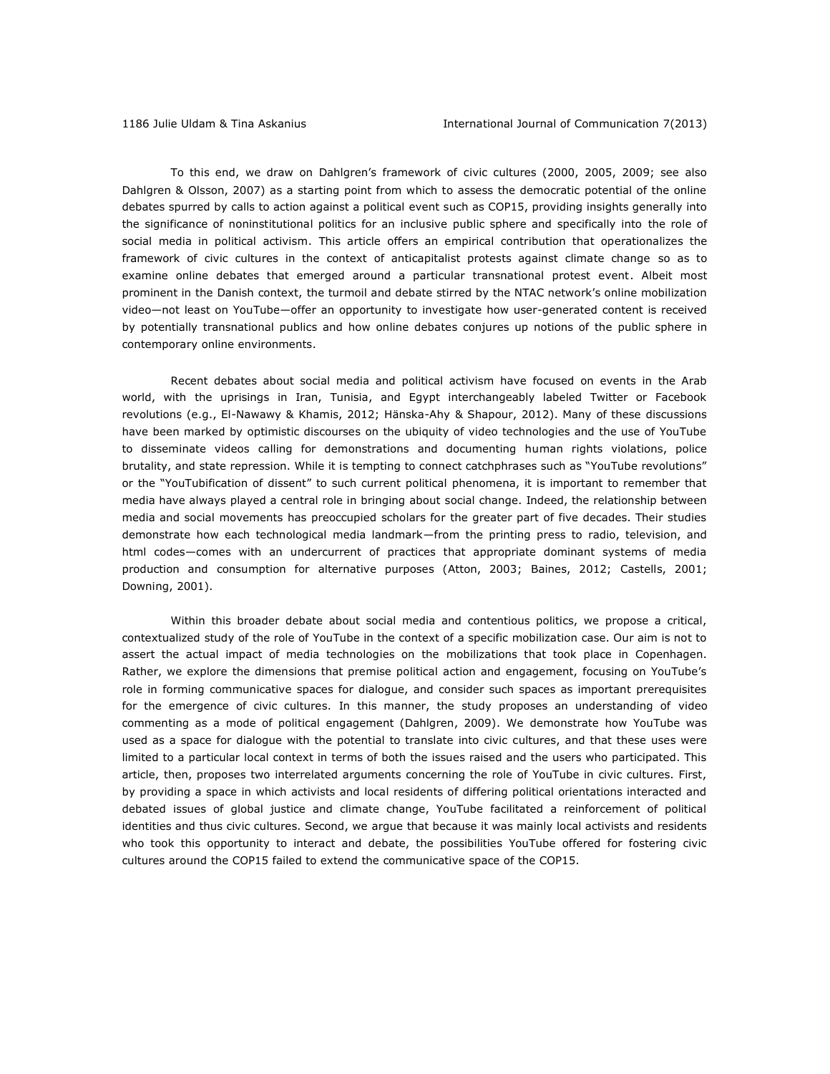To this end, we draw on Dahlgren's framework of civic cultures (2000, 2005, 2009; see also Dahlgren & Olsson, 2007) as a starting point from which to assess the democratic potential of the online debates spurred by calls to action against a political event such as COP15, providing insights generally into the significance of noninstitutional politics for an inclusive public sphere and specifically into the role of social media in political activism. This article offers an empirical contribution that operationalizes the framework of civic cultures in the context of anticapitalist protests against climate change so as to examine online debates that emerged around a particular transnational protest event. Albeit most prominent in the Danish context, the turmoil and debate stirred by the NTAC network's online mobilization video—not least on YouTube—offer an opportunity to investigate how user-generated content is received by potentially transnational publics and how online debates conjures up notions of the public sphere in contemporary online environments.

Recent debates about social media and political activism have focused on events in the Arab world, with the uprisings in Iran, Tunisia, and Egypt interchangeably labeled Twitter or Facebook revolutions (e.g., El-Nawawy & Khamis, 2012; Hänska-Ahy & Shapour, 2012). Many of these discussions have been marked by optimistic discourses on the ubiquity of video technologies and the use of YouTube to disseminate videos calling for demonstrations and documenting human rights violations, police brutality, and state repression. While it is tempting to connect catchphrases such as "YouTube revolutions" or the "YouTubification of dissent" to such current political phenomena, it is important to remember that media have always played a central role in bringing about social change. Indeed, the relationship between media and social movements has preoccupied scholars for the greater part of five decades. Their studies demonstrate how each technological media landmark—from the printing press to radio, television, and html codes—comes with an undercurrent of practices that appropriate dominant systems of media production and consumption for alternative purposes (Atton, 2003; Baines, 2012; Castells, 2001; Downing, 2001).

Within this broader debate about social media and contentious politics, we propose a critical, contextualized study of the role of YouTube in the context of a specific mobilization case. Our aim is not to assert the actual impact of media technologies on the mobilizations that took place in Copenhagen. Rather, we explore the dimensions that premise political action and engagement, focusing on YouTube's role in forming communicative spaces for dialogue, and consider such spaces as important prerequisites for the emergence of civic cultures. In this manner, the study proposes an understanding of video commenting as a mode of political engagement (Dahlgren, 2009). We demonstrate how YouTube was used as a space for dialogue with the potential to translate into civic cultures, and that these uses were limited to a particular local context in terms of both the issues raised and the users who participated. This article, then, proposes two interrelated arguments concerning the role of YouTube in civic cultures. First, by providing a space in which activists and local residents of differing political orientations interacted and debated issues of global justice and climate change, YouTube facilitated a reinforcement of political identities and thus civic cultures. Second, we argue that because it was mainly local activists and residents who took this opportunity to interact and debate, the possibilities YouTube offered for fostering civic cultures around the COP15 failed to extend the communicative space of the COP15.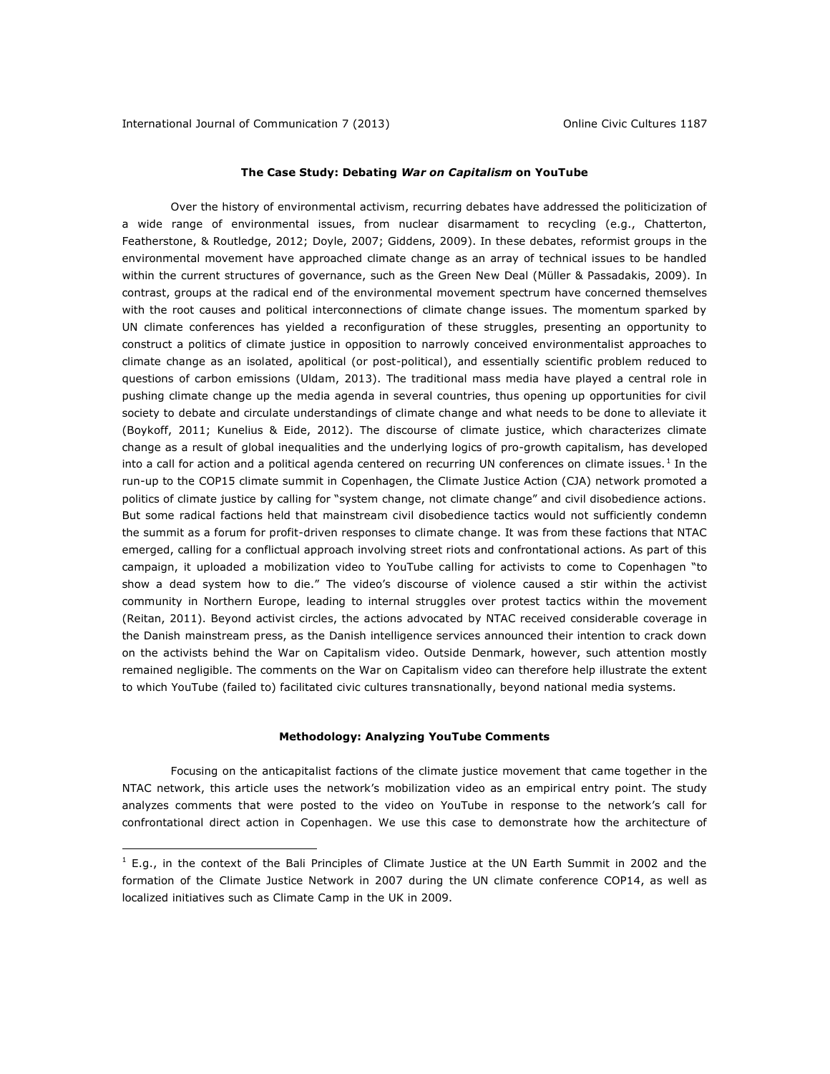$\overline{a}$ 

## **The Case Study: Debating** *War on Capitalism* **on YouTube**

Over the history of environmental activism, recurring debates have addressed the politicization of a wide range of environmental issues, from nuclear disarmament to recycling (e.g., Chatterton, Featherstone, & Routledge, 2012; Doyle, 2007; Giddens, 2009). In these debates, reformist groups in the environmental movement have approached climate change as an array of technical issues to be handled within the current structures of governance, such as the Green New Deal (Müller & Passadakis, 2009). In contrast, groups at the radical end of the environmental movement spectrum have concerned themselves with the root causes and political interconnections of climate change issues. The momentum sparked by UN climate conferences has yielded a reconfiguration of these struggles, presenting an opportunity to construct a politics of climate justice in opposition to narrowly conceived environmentalist approaches to climate change as an isolated, apolitical (or post-political), and essentially scientific problem reduced to questions of carbon emissions (Uldam, 2013). The traditional mass media have played a central role in pushing climate change up the media agenda in several countries, thus opening up opportunities for civil society to debate and circulate understandings of climate change and what needs to be done to alleviate it (Boykoff, 2011; Kunelius & Eide, 2012). The discourse of climate justice, which characterizes climate change as a result of global inequalities and the underlying logics of pro-growth capitalism, has developed into a call for action and a political agenda centered on recurring UN conferences on climate issues.<sup>1</sup> In the run-up to the COP15 climate summit in Copenhagen, the Climate Justice Action (CJA) network promoted a politics of climate justice by calling for "system change, not climate change" and civil disobedience actions. But some radical factions held that mainstream civil disobedience tactics would not sufficiently condemn the summit as a forum for profit-driven responses to climate change. It was from these factions that NTAC emerged, calling for a conflictual approach involving street riots and confrontational actions. As part of this campaign, it uploaded a mobilization video to YouTube calling for activists to come to Copenhagen "to show a dead system how to die." The video's discourse of violence caused a stir within the activist community in Northern Europe, leading to internal struggles over protest tactics within the movement (Reitan, 2011). Beyond activist circles, the actions advocated by NTAC received considerable coverage in the Danish mainstream press, as the Danish intelligence services announced their intention to crack down on the activists behind the War on Capitalism video. Outside Denmark, however, such attention mostly remained negligible. The comments on the War on Capitalism video can therefore help illustrate the extent to which YouTube (failed to) facilitated civic cultures transnationally, beyond national media systems.

## **Methodology: Analyzing YouTube Comments**

Focusing on the anticapitalist factions of the climate justice movement that came together in the NTAC network, this article uses the network's mobilization video as an empirical entry point. The study analyzes comments that were posted to the video on YouTube in response to the network's call for confrontational direct action in Copenhagen. We use this case to demonstrate how the architecture of

 $<sup>1</sup>$  E.g., in the context of the Bali Principles of Climate Justice at the UN Earth Summit in 2002 and the</sup> formation of the Climate Justice Network in 2007 during the UN climate conference COP14, as well as localized initiatives such as Climate Camp in the UK in 2009.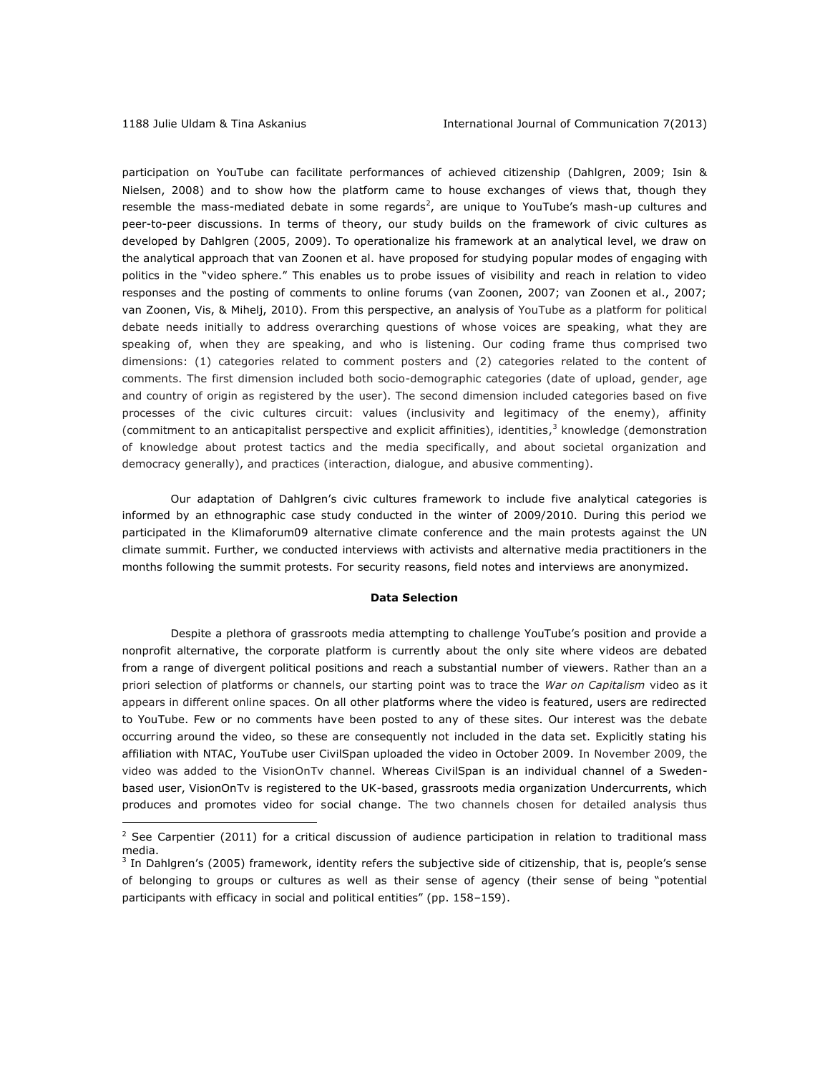$\overline{a}$ 

participation on YouTube can facilitate performances of achieved citizenship (Dahlgren, 2009; Isin & Nielsen, 2008) and to show how the platform came to house exchanges of views that, though they resemble the mass-mediated debate in some regards<sup>2</sup>, are unique to YouTube's mash-up cultures and peer-to-peer discussions. In terms of theory, our study builds on the framework of civic cultures as developed by Dahlgren (2005, 2009). To operationalize his framework at an analytical level, we draw on the analytical approach that van Zoonen et al. have proposed for studying popular modes of engaging with politics in the "video sphere." This enables us to probe issues of visibility and reach in relation to video responses and the posting of comments to online forums (van Zoonen, 2007; van Zoonen et al., 2007; van Zoonen, Vis, & Mihelj, 2010). From this perspective, an analysis of YouTube as a platform for political debate needs initially to address overarching questions of whose voices are speaking, what they are speaking of, when they are speaking, and who is listening. Our coding frame thus comprised two dimensions: (1) categories related to comment posters and (2) categories related to the content of comments. The first dimension included both socio-demographic categories (date of upload, gender, age and country of origin as registered by the user). The second dimension included categories based on five processes of the civic cultures circuit: values (inclusivity and legitimacy of the enemy), affinity (commitment to an anticapitalist perspective and explicit affinities), identities, 3 knowledge (demonstration of knowledge about protest tactics and the media specifically, and about societal organization and democracy generally), and practices (interaction, dialogue, and abusive commenting).

Our adaptation of Dahlgren's civic cultures framework to include five analytical categories is informed by an ethnographic case study conducted in the winter of 2009/2010. During this period we participated in the Klimaforum09 alternative climate conference and the main protests against the UN climate summit. Further, we conducted interviews with activists and alternative media practitioners in the months following the summit protests. For security reasons, field notes and interviews are anonymized.

#### **Data Selection**

Despite a plethora of grassroots media attempting to challenge YouTube's position and provide a nonprofit alternative, the corporate platform is currently about the only site where videos are debated from a range of divergent political positions and reach a substantial number of viewers. Rather than an a priori selection of platforms or channels, our starting point was to trace the *War on Capitalism* video as it appears in different online spaces. On all other platforms where the video is featured, users are redirected to YouTube. Few or no comments have been posted to any of these sites. Our interest was the debate occurring around the video, so these are consequently not included in the data set. Explicitly stating his affiliation with NTAC, YouTube user CivilSpan uploaded the video in October 2009. In November 2009, the video was added to the VisionOnTv channel. Whereas CivilSpan is an individual channel of a Swedenbased user, VisionOnTv is registered to the UK-based, grassroots media organization Undercurrents, which produces and promotes video for social change. The two channels chosen for detailed analysis thus

 $2$  See Carpentier (2011) for a critical discussion of audience participation in relation to traditional mass media.

<sup>&</sup>lt;sup>3</sup> In Dahlgren's (2005) framework, identity refers the subjective side of citizenship, that is, people's sense of belonging to groups or cultures as well as their sense of agency (their sense of being "potential participants with efficacy in social and political entities" (pp. 158–159).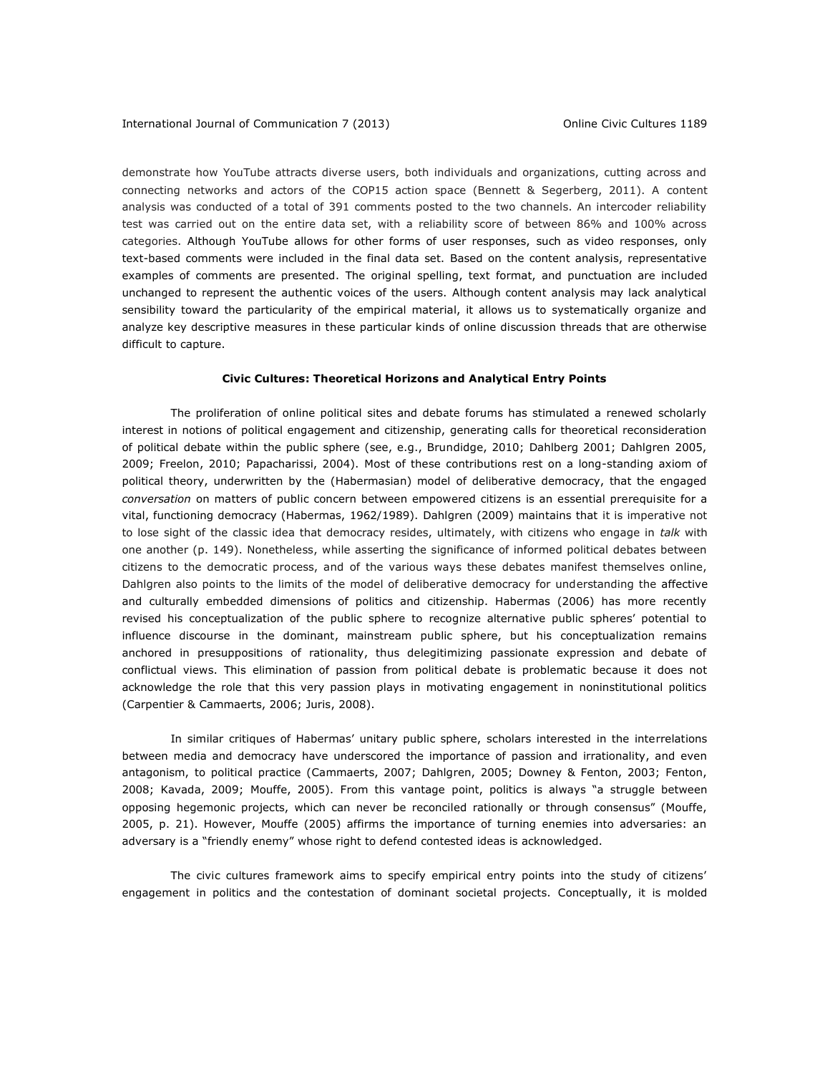demonstrate how YouTube attracts diverse users, both individuals and organizations, cutting across and connecting networks and actors of the COP15 action space (Bennett & Segerberg, 2011). A content analysis was conducted of a total of 391 comments posted to the two channels. An intercoder reliability test was carried out on the entire data set, with a reliability score of between 86% and 100% across categories. Although YouTube allows for other forms of user responses, such as video responses, only text-based comments were included in the final data set. Based on the content analysis, representative examples of comments are presented. The original spelling, text format, and punctuation are included unchanged to represent the authentic voices of the users. Although content analysis may lack analytical sensibility toward the particularity of the empirical material, it allows us to systematically organize and analyze key descriptive measures in these particular kinds of online discussion threads that are otherwise difficult to capture.

#### **Civic Cultures: Theoretical Horizons and Analytical Entry Points**

The proliferation of online political sites and debate forums has stimulated a renewed scholarly interest in notions of political engagement and citizenship, generating calls for theoretical reconsideration of political debate within the public sphere (see, e.g., Brundidge, 2010; Dahlberg 2001; Dahlgren 2005, 2009; Freelon, 2010; Papacharissi, 2004). Most of these contributions rest on a long-standing axiom of political theory, underwritten by the (Habermasian) model of deliberative democracy, that the engaged *conversation* on matters of public concern between empowered citizens is an essential prerequisite for a vital, functioning democracy (Habermas, 1962/1989). Dahlgren (2009) maintains that it is imperative not to lose sight of the classic idea that democracy resides, ultimately, with citizens who engage in *talk* with one another (p. 149). Nonetheless, while asserting the significance of informed political debates between citizens to the democratic process, and of the various ways these debates manifest themselves online, Dahlgren also points to the limits of the model of deliberative democracy for understanding the affective and culturally embedded dimensions of politics and citizenship. Habermas (2006) has more recently revised his conceptualization of the public sphere to recognize alternative public spheres' potential to influence discourse in the dominant, mainstream public sphere, but his conceptualization remains anchored in presuppositions of rationality, thus delegitimizing passionate expression and debate of conflictual views. This elimination of passion from political debate is problematic because it does not acknowledge the role that this very passion plays in motivating engagement in noninstitutional politics (Carpentier & Cammaerts, 2006; Juris, 2008).

In similar critiques of Habermas' unitary public sphere, scholars interested in the interrelations between media and democracy have underscored the importance of passion and irrationality, and even antagonism, to political practice (Cammaerts, 2007; Dahlgren, 2005; Downey & Fenton, 2003; Fenton, 2008; Kavada, 2009; Mouffe, 2005). From this vantage point, politics is always "a struggle between opposing hegemonic projects, which can never be reconciled rationally or through consensus" (Mouffe, 2005, p. 21). However, Mouffe (2005) affirms the importance of turning enemies into adversaries: an adversary is a "friendly enemy" whose right to defend contested ideas is acknowledged.

The civic cultures framework aims to specify empirical entry points into the study of citizens' engagement in politics and the contestation of dominant societal projects. Conceptually, it is molded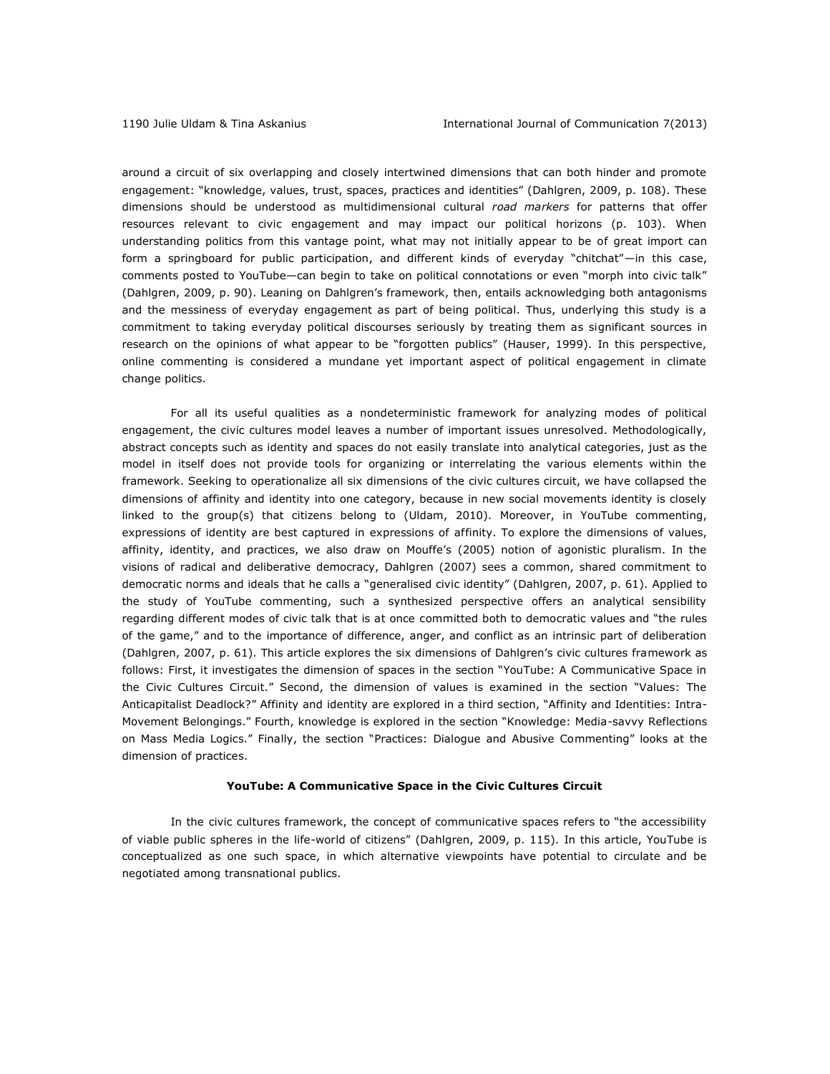around a circuit of six overlapping and closely intertwined dimensions that can both hinder and promote engagement: "knowledge, values, trust, spaces, practices and identities" (Dahlgren, 2009, p. 108). These dimensions should be understood as multidimensional cultural *road markers* for patterns that offer resources relevant to civic engagement and may impact our political horizons (p. 103). When understanding politics from this vantage point, what may not initially appear to be of great import can form a springboard for public participation, and different kinds of everyday "chitchat"—in this case, comments posted to YouTube—can begin to take on political connotations or even "morph into civic talk" (Dahlgren, 2009, p. 90). Leaning on Dahlgren's framework, then, entails acknowledging both antagonisms and the messiness of everyday engagement as part of being political. Thus, underlying this study is a commitment to taking everyday political discourses seriously by treating them as significant sources in research on the opinions of what appear to be "forgotten publics" (Hauser, 1999). In this perspective, online commenting is considered a mundane yet important aspect of political engagement in climate change politics.

For all its useful qualities as a nondeterministic framework for analyzing modes of political engagement, the civic cultures model leaves a number of important issues unresolved. Methodologically, abstract concepts such as identity and spaces do not easily translate into analytical categories, just as the model in itself does not provide tools for organizing or interrelating the various elements within the framework. Seeking to operationalize all six dimensions of the civic cultures circuit, we have collapsed the dimensions of affinity and identity into one category, because in new social movements identity is closely linked to the group(s) that citizens belong to (Uldam, 2010). Moreover, in YouTube commenting, expressions of identity are best captured in expressions of affinity. To explore the dimensions of values, affinity, identity, and practices, we also draw on Mouffe's (2005) notion of agonistic pluralism. In the visions of radical and deliberative democracy, Dahlgren (2007) sees a common, shared commitment to democratic norms and ideals that he calls a "generalised civic identity" (Dahlgren, 2007, p. 61). Applied to the study of YouTube commenting, such a synthesized perspective offers an analytical sensibility regarding different modes of civic talk that is at once committed both to democratic values and "the rules of the game," and to the importance of difference, anger, and conflict as an intrinsic part of deliberation (Dahlgren, 2007, p. 61). This article explores the six dimensions of Dahlgren's civic cultures framework as follows: First, it investigates the dimension of spaces in the section "YouTube: A Communicative Space in the Civic Cultures Circuit." Second, the dimension of values is examined in the section "Values: The Anticapitalist Deadlock?" Affinity and identity are explored in a third section, "Affinity and Identities: Intra-Movement Belongings." Fourth, knowledge is explored in the section "Knowledge: Media-savvy Reflections on Mass Media Logics." Finally, the section "Practices: Dialogue and Abusive Commenting" looks at the dimension of practices.

#### **YouTube: A Communicative Space in the Civic Cultures Circuit**

In the civic cultures framework, the concept of communicative spaces refers to "the accessibility of viable public spheres in the life-world of citizens" (Dahlgren, 2009, p. 115). In this article, YouTube is conceptualized as one such space, in which alternative viewpoints have potential to circulate and be negotiated among transnational publics.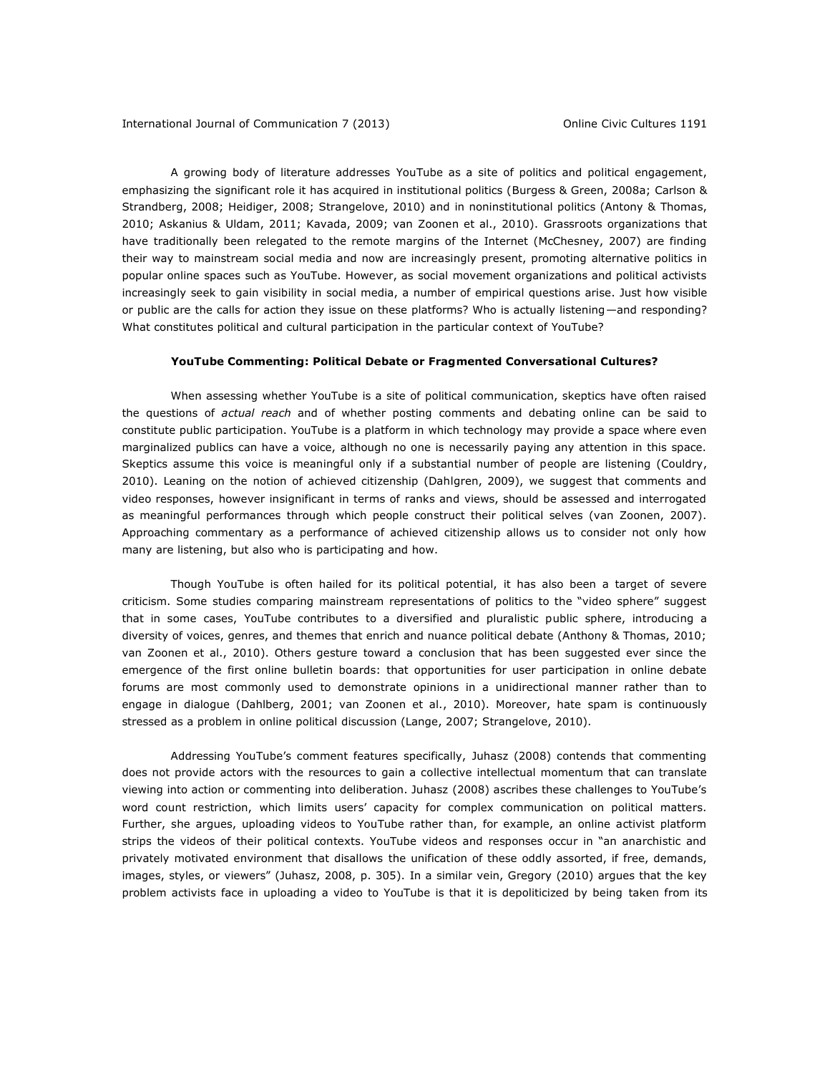#### International Journal of Communication 7 (2013) Online Civic Cultures 1191

A growing body of literature addresses YouTube as a site of politics and political engagement, emphasizing the significant role it has acquired in institutional politics (Burgess & Green, 2008a; Carlson & Strandberg, 2008; Heidiger, 2008; Strangelove, 2010) and in noninstitutional politics (Antony & Thomas, 2010; Askanius & Uldam, 2011; Kavada, 2009; van Zoonen et al., 2010). Grassroots organizations that have traditionally been relegated to the remote margins of the Internet (McChesney, 2007) are finding their way to mainstream social media and now are increasingly present, promoting alternative politics in popular online spaces such as YouTube. However, as social movement organizations and political activists increasingly seek to gain visibility in social media, a number of empirical questions arise. Just how visible or public are the calls for action they issue on these platforms? Who is actually listening—and responding? What constitutes political and cultural participation in the particular context of YouTube?

#### **YouTube Commenting: Political Debate or Fragmented Conversational Cultures?**

When assessing whether YouTube is a site of political communication, skeptics have often raised the questions of *actual reach* and of whether posting comments and debating online can be said to constitute public participation. YouTube is a platform in which technology may provide a space where even marginalized publics can have a voice, although no one is necessarily paying any attention in this space. Skeptics assume this voice is meaningful only if a substantial number of people are listening (Couldry, 2010). Leaning on the notion of achieved citizenship (Dahlgren, 2009), we suggest that comments and video responses, however insignificant in terms of ranks and views, should be assessed and interrogated as meaningful performances through which people construct their political selves (van Zoonen, 2007). Approaching commentary as a performance of achieved citizenship allows us to consider not only how many are listening, but also who is participating and how.

Though YouTube is often hailed for its political potential, it has also been a target of severe criticism. Some studies comparing mainstream representations of politics to the "video sphere" suggest that in some cases, YouTube contributes to a diversified and pluralistic public sphere, introducing a diversity of voices, genres, and themes that enrich and nuance political debate (Anthony & Thomas, 2010; van Zoonen et al., 2010). Others gesture toward a conclusion that has been suggested ever since the emergence of the first online bulletin boards: that opportunities for user participation in online debate forums are most commonly used to demonstrate opinions in a unidirectional manner rather than to engage in dialogue (Dahlberg, 2001; van Zoonen et al., 2010). Moreover, hate spam is continuously stressed as a problem in online political discussion (Lange, 2007; Strangelove, 2010).

Addressing YouTube's comment features specifically, Juhasz (2008) contends that commenting does not provide actors with the resources to gain a collective intellectual momentum that can translate viewing into action or commenting into deliberation. Juhasz (2008) ascribes these challenges to YouTube's word count restriction, which limits users' capacity for complex communication on political matters. Further, she argues, uploading videos to YouTube rather than, for example, an online activist platform strips the videos of their political contexts. YouTube videos and responses occur in "an anarchistic and privately motivated environment that disallows the unification of these oddly assorted, if free, demands, images, styles, or viewers" (Juhasz, 2008, p. 305). In a similar vein, Gregory (2010) argues that the key problem activists face in uploading a video to YouTube is that it is depoliticized by being taken from its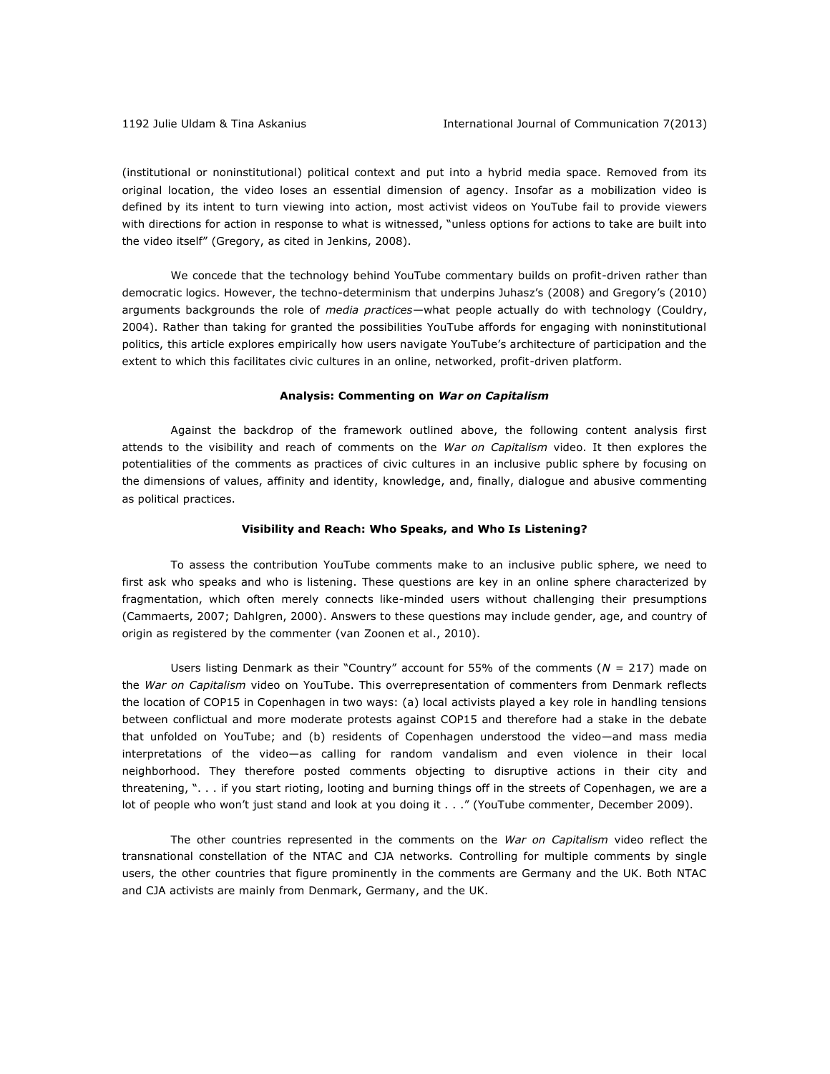(institutional or noninstitutional) political context and put into a hybrid media space. Removed from its original location, the video loses an essential dimension of agency. Insofar as a mobilization video is defined by its intent to turn viewing into action, most activist videos on YouTube fail to provide viewers with directions for action in response to what is witnessed, "unless options for actions to take are built into the video itself" (Gregory, as cited in Jenkins, 2008).

We concede that the technology behind YouTube commentary builds on profit-driven rather than democratic logics. However, the techno-determinism that underpins Juhasz's (2008) and Gregory's (2010) arguments backgrounds the role of *media practices*—what people actually do with technology (Couldry, 2004). Rather than taking for granted the possibilities YouTube affords for engaging with noninstitutional politics, this article explores empirically how users navigate YouTube's architecture of participation and the extent to which this facilitates civic cultures in an online, networked, profit-driven platform.

#### **Analysis: Commenting on** *War on Capitalism*

Against the backdrop of the framework outlined above, the following content analysis first attends to the visibility and reach of comments on the *War on Capitalism* video. It then explores the potentialities of the comments as practices of civic cultures in an inclusive public sphere by focusing on the dimensions of values, affinity and identity, knowledge, and, finally, dialogue and abusive commenting as political practices.

#### **Visibility and Reach: Who Speaks, and Who Is Listening?**

To assess the contribution YouTube comments make to an inclusive public sphere, we need to first ask who speaks and who is listening. These questions are key in an online sphere characterized by fragmentation, which often merely connects like-minded users without challenging their presumptions (Cammaerts, 2007; Dahlgren, 2000). Answers to these questions may include gender, age, and country of origin as registered by the commenter (van Zoonen et al., 2010).

Users listing Denmark as their "Country" account for 55% of the comments (*N* = 217) made on the *War on Capitalism* video on YouTube. This overrepresentation of commenters from Denmark reflects the location of COP15 in Copenhagen in two ways: (a) local activists played a key role in handling tensions between conflictual and more moderate protests against COP15 and therefore had a stake in the debate that unfolded on YouTube; and (b) residents of Copenhagen understood the video—and mass media interpretations of the video—as calling for random vandalism and even violence in their local neighborhood. They therefore posted comments objecting to disruptive actions in their city and threatening, ". . . if you start rioting, looting and burning things off in the streets of Copenhagen, we are a lot of people who won't just stand and look at you doing it . . ." (YouTube commenter, December 2009).

The other countries represented in the comments on the *War on Capitalism* video reflect the transnational constellation of the NTAC and CJA networks. Controlling for multiple comments by single users, the other countries that figure prominently in the comments are Germany and the UK. Both NTAC and CJA activists are mainly from Denmark, Germany, and the UK.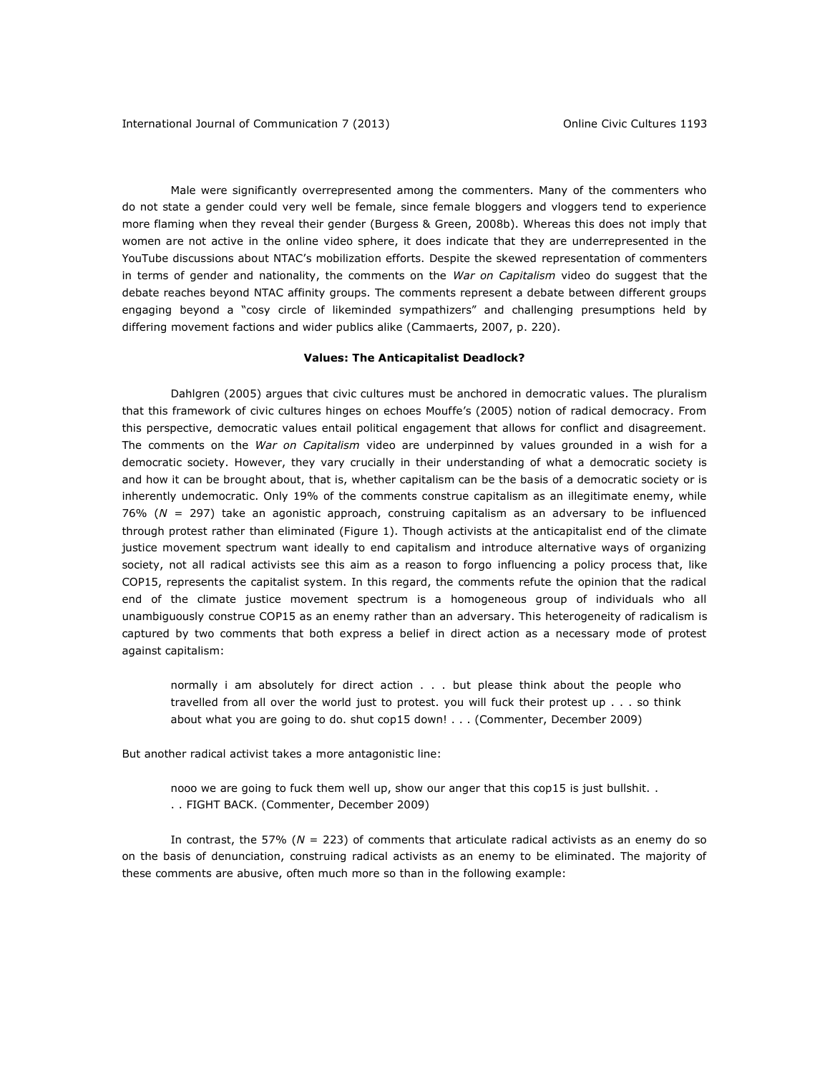Male were significantly overrepresented among the commenters. Many of the commenters who do not state a gender could very well be female, since female bloggers and vloggers tend to experience more flaming when they reveal their gender (Burgess & Green, 2008b). Whereas this does not imply that women are not active in the online video sphere, it does indicate that they are underrepresented in the YouTube discussions about NTAC's mobilization efforts. Despite the skewed representation of commenters in terms of gender and nationality, the comments on the *War on Capitalism* video do suggest that the debate reaches beyond NTAC affinity groups. The comments represent a debate between different groups engaging beyond a "cosy circle of likeminded sympathizers" and challenging presumptions held by differing movement factions and wider publics alike (Cammaerts, 2007, p. 220).

## **Values: The Anticapitalist Deadlock?**

Dahlgren (2005) argues that civic cultures must be anchored in democratic values. The pluralism that this framework of civic cultures hinges on echoes Mouffe's (2005) notion of radical democracy. From this perspective, democratic values entail political engagement that allows for conflict and disagreement. The comments on the *War on Capitalism* video are underpinned by values grounded in a wish for a democratic society. However, they vary crucially in their understanding of what a democratic society is and how it can be brought about, that is, whether capitalism can be the basis of a democratic society or is inherently undemocratic. Only 19% of the comments construe capitalism as an illegitimate enemy, while 76% (*N* = 297) take an agonistic approach, construing capitalism as an adversary to be influenced through protest rather than eliminated (Figure 1). Though activists at the anticapitalist end of the climate justice movement spectrum want ideally to end capitalism and introduce alternative ways of organizing society, not all radical activists see this aim as a reason to forgo influencing a policy process that, like COP15, represents the capitalist system. In this regard, the comments refute the opinion that the radical end of the climate justice movement spectrum is a homogeneous group of individuals who all unambiguously construe COP15 as an enemy rather than an adversary. This heterogeneity of radicalism is captured by two comments that both express a belief in direct action as a necessary mode of protest against capitalism:

normally i am absolutely for direct action . . . but please think about the people who travelled from all over the world just to protest. you will fuck their protest up . . . so think about what you are going to do. shut cop15 down! . . . (Commenter, December 2009)

But another radical activist takes a more antagonistic line:

nooo we are going to fuck them well up, show our anger that this cop15 is just bullshit. . . . FIGHT BACK. (Commenter, December 2009)

In contrast, the 57% (*N* = 223) of comments that articulate radical activists as an enemy do so on the basis of denunciation, construing radical activists as an enemy to be eliminated. The majority of these comments are abusive, often much more so than in the following example: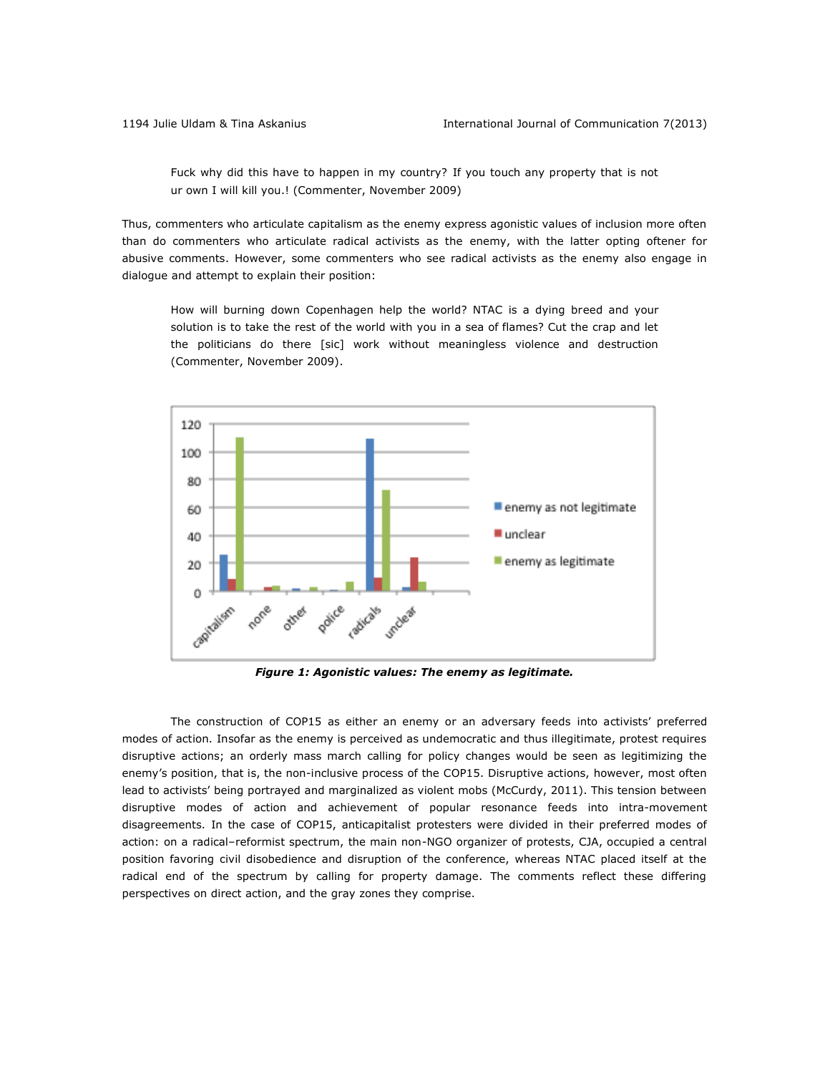Fuck why did this have to happen in my country? If you touch any property that is not ur own I will kill you.! (Commenter, November 2009)

Thus, commenters who articulate capitalism as the enemy express agonistic values of inclusion more often than do commenters who articulate radical activists as the enemy, with the latter opting oftener for abusive comments. However, some commenters who see radical activists as the enemy also engage in dialogue and attempt to explain their position:

How will burning down Copenhagen help the world? NTAC is a dying breed and your solution is to take the rest of the world with you in a sea of flames? Cut the crap and let the politicians do there [sic] work without meaningless violence and destruction (Commenter, November 2009).



*Figure 1: Agonistic values: The enemy as legitimate.*

The construction of COP15 as either an enemy or an adversary feeds into activists' preferred modes of action. Insofar as the enemy is perceived as undemocratic and thus illegitimate, protest requires disruptive actions; an orderly mass march calling for policy changes would be seen as legitimizing the enemy's position, that is, the non-inclusive process of the COP15. Disruptive actions, however, most often lead to activists' being portrayed and marginalized as violent mobs (McCurdy, 2011). This tension between disruptive modes of action and achievement of popular resonance feeds into intra-movement disagreements. In the case of COP15, anticapitalist protesters were divided in their preferred modes of action: on a radical–reformist spectrum, the main non-NGO organizer of protests, CJA, occupied a central position favoring civil disobedience and disruption of the conference, whereas NTAC placed itself at the radical end of the spectrum by calling for property damage. The comments reflect these differing perspectives on direct action, and the gray zones they comprise.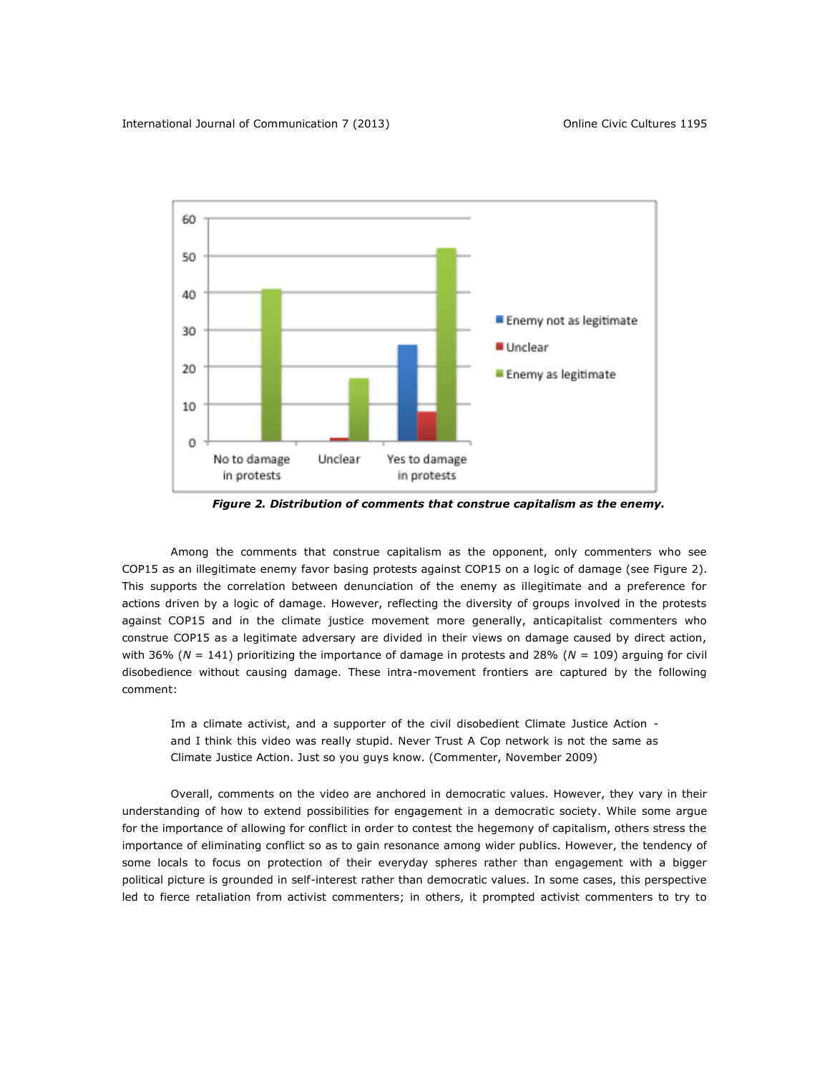

*Figure 2. Distribution of comments that construe capitalism as the enemy.*

Among the comments that construe capitalism as the opponent, only commenters who see COP15 as an illegitimate enemy favor basing protests against COP15 on a logic of damage (see Figure 2). This supports the correlation between denunciation of the enemy as illegitimate and a preference for actions driven by a logic of damage. However, reflecting the diversity of groups involved in the protests against COP15 and in the climate justice movement more generally, anticapitalist commenters who construe COP15 as a legitimate adversary are divided in their views on damage caused by direct action, with 36% (*N* = 141) prioritizing the importance of damage in protests and 28% (*N* = 109) arguing for civil disobedience without causing damage. These intra-movement frontiers are captured by the following comment:

Im a climate activist, and a supporter of the civil disobedient Climate Justice Action and I think this video was really stupid. Never Trust A Cop network is not the same as Climate Justice Action. Just so you guys know. (Commenter, November 2009)

Overall, comments on the video are anchored in democratic values. However, they vary in their understanding of how to extend possibilities for engagement in a democratic society. While some argue for the importance of allowing for conflict in order to contest the hegemony of capitalism, others stress the importance of eliminating conflict so as to gain resonance among wider publics. However, the tendency of some locals to focus on protection of their everyday spheres rather than engagement with a bigger political picture is grounded in self-interest rather than democratic values. In some cases, this perspective led to fierce retaliation from activist commenters; in others, it prompted activist commenters to try to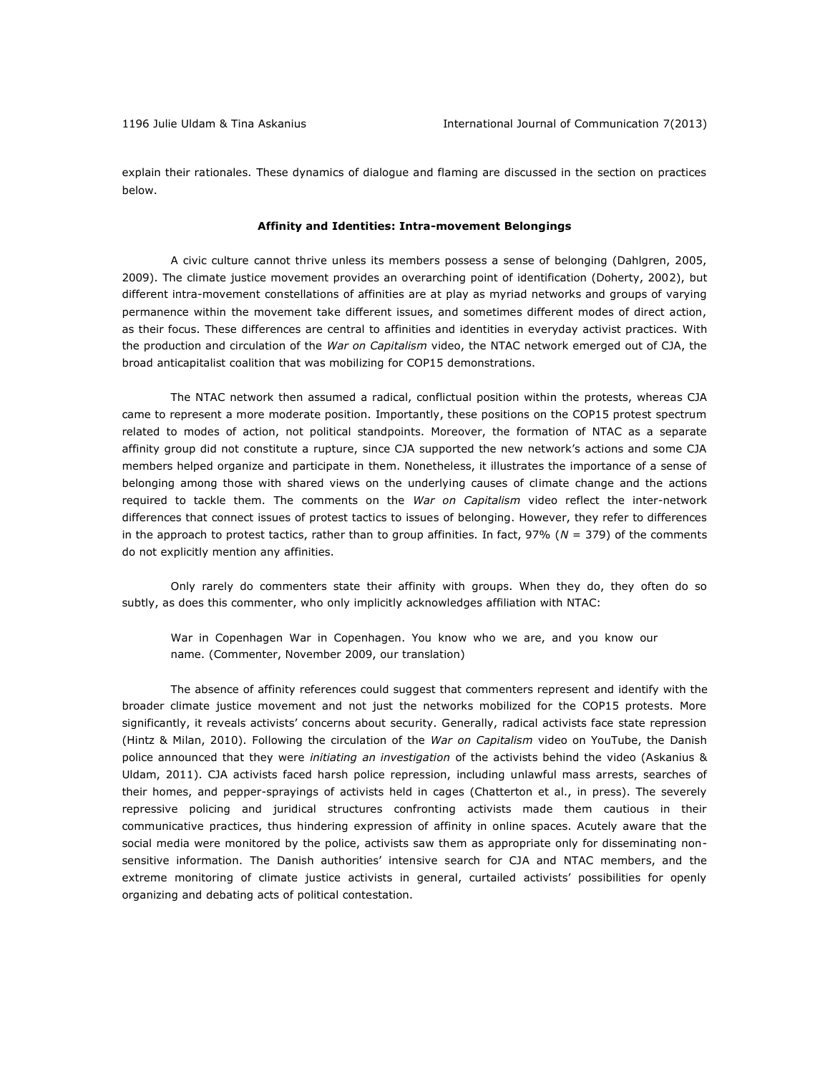explain their rationales. These dynamics of dialogue and flaming are discussed in the section on practices below.

#### **Affinity and Identities: Intra-movement Belongings**

A civic culture cannot thrive unless its members possess a sense of belonging (Dahlgren, 2005, 2009). The climate justice movement provides an overarching point of identification (Doherty, 2002), but different intra-movement constellations of affinities are at play as myriad networks and groups of varying permanence within the movement take different issues, and sometimes different modes of direct action, as their focus. These differences are central to affinities and identities in everyday activist practices. With the production and circulation of the *War on Capitalism* video, the NTAC network emerged out of CJA, the broad anticapitalist coalition that was mobilizing for COP15 demonstrations.

The NTAC network then assumed a radical, conflictual position within the protests, whereas CJA came to represent a more moderate position. Importantly, these positions on the COP15 protest spectrum related to modes of action, not political standpoints. Moreover, the formation of NTAC as a separate affinity group did not constitute a rupture, since CJA supported the new network's actions and some CJA members helped organize and participate in them. Nonetheless, it illustrates the importance of a sense of belonging among those with shared views on the underlying causes of climate change and the actions required to tackle them. The comments on the *War on Capitalism* video reflect the inter-network differences that connect issues of protest tactics to issues of belonging. However, they refer to differences in the approach to protest tactics, rather than to group affinities. In fact, 97% (*N* = 379) of the comments do not explicitly mention any affinities.

Only rarely do commenters state their affinity with groups. When they do, they often do so subtly, as does this commenter, who only implicitly acknowledges affiliation with NTAC:

War in Copenhagen War in Copenhagen. You know who we are, and you know our name. (Commenter, November 2009, our translation)

The absence of affinity references could suggest that commenters represent and identify with the broader climate justice movement and not just the networks mobilized for the COP15 protests. More significantly, it reveals activists' concerns about security. Generally, radical activists face state repression (Hintz & Milan, 2010). Following the circulation of the *War on Capitalism* video on YouTube, the Danish police announced that they were *initiating an investigation* of the activists behind the video (Askanius & Uldam, 2011). CJA activists faced harsh police repression, including unlawful mass arrests, searches of their homes, and pepper-sprayings of activists held in cages (Chatterton et al., in press). The severely repressive policing and juridical structures confronting activists made them cautious in their communicative practices, thus hindering expression of affinity in online spaces. Acutely aware that the social media were monitored by the police, activists saw them as appropriate only for disseminating nonsensitive information. The Danish authorities' intensive search for CJA and NTAC members, and the extreme monitoring of climate justice activists in general, curtailed activists' possibilities for openly organizing and debating acts of political contestation.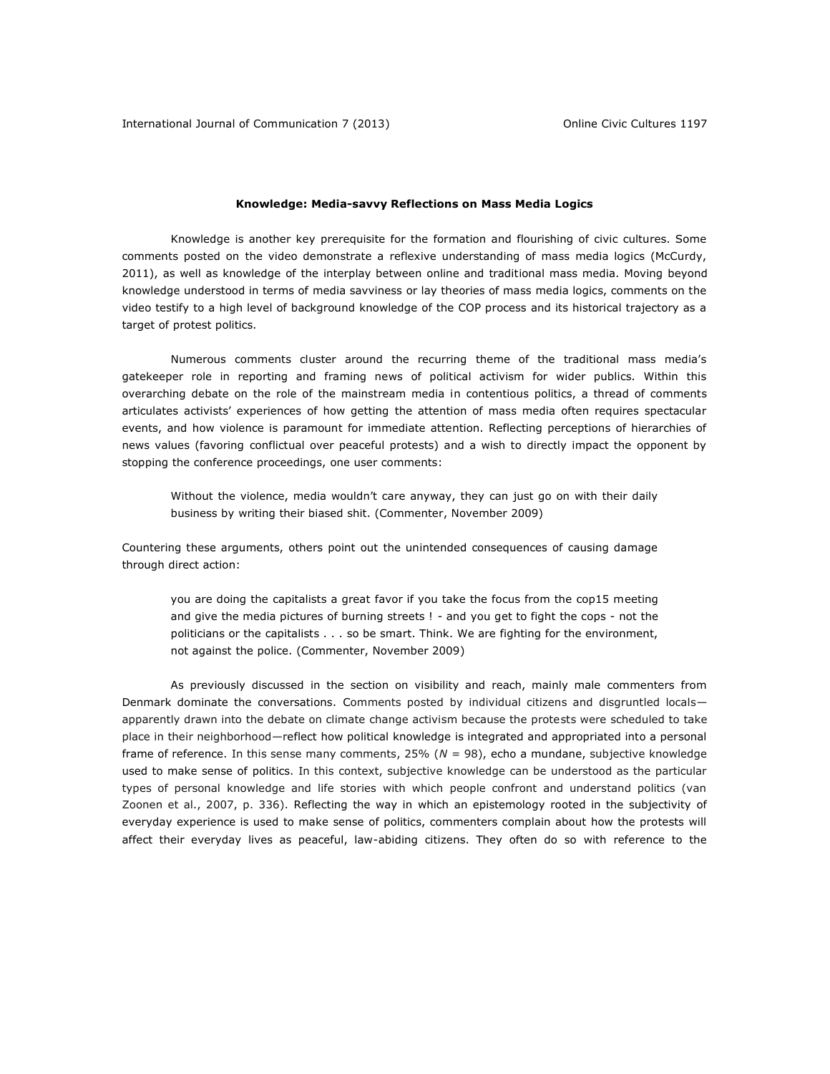#### **Knowledge: Media-savvy Reflections on Mass Media Logics**

Knowledge is another key prerequisite for the formation and flourishing of civic cultures. Some comments posted on the video demonstrate a reflexive understanding of mass media logics (McCurdy, 2011), as well as knowledge of the interplay between online and traditional mass media. Moving beyond knowledge understood in terms of media savviness or lay theories of mass media logics, comments on the video testify to a high level of background knowledge of the COP process and its historical trajectory as a target of protest politics.

Numerous comments cluster around the recurring theme of the traditional mass media's gatekeeper role in reporting and framing news of political activism for wider publics. Within this overarching debate on the role of the mainstream media in contentious politics, a thread of comments articulates activists' experiences of how getting the attention of mass media often requires spectacular events, and how violence is paramount for immediate attention. Reflecting perceptions of hierarchies of news values (favoring conflictual over peaceful protests) and a wish to directly impact the opponent by stopping the conference proceedings, one user comments:

Without the violence, media wouldn't care anyway, they can just go on with their daily business by writing their biased shit. (Commenter, November 2009)

Countering these arguments, others point out the unintended consequences of causing damage through direct action:

you are doing the capitalists a great favor if you take the focus from the cop15 meeting and give the media pictures of burning streets ! - and you get to fight the cops - not the politicians or the capitalists . . . so be smart. Think. We are fighting for the environment, not against the police. (Commenter, November 2009)

As previously discussed in the section on visibility and reach, mainly male commenters from Denmark dominate the conversations. Comments posted by individual citizens and disgruntled localsapparently drawn into the debate on climate change activism because the protests were scheduled to take place in their neighborhood—reflect how political knowledge is integrated and appropriated into a personal frame of reference. In this sense many comments, 25% (*N* = 98), echo a mundane, subjective knowledge used to make sense of politics. In this context, subjective knowledge can be understood as the particular types of personal knowledge and life stories with which people confront and understand politics (van Zoonen et al., 2007, p. 336). Reflecting the way in which an epistemology rooted in the subjectivity of everyday experience is used to make sense of politics, commenters complain about how the protests will affect their everyday lives as peaceful, law-abiding citizens. They often do so with reference to the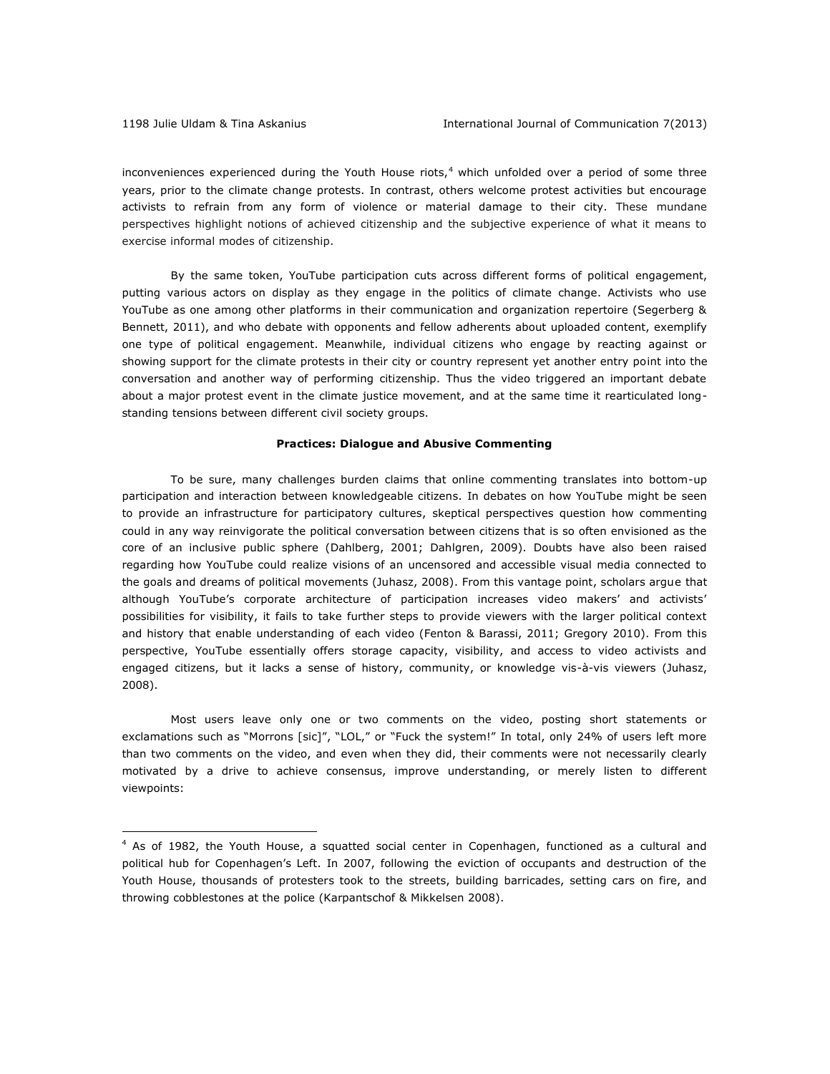$\overline{a}$ 

inconveniences experienced during the Youth House riots, $4$  which unfolded over a period of some three years, prior to the climate change protests. In contrast, others welcome protest activities but encourage activists to refrain from any form of violence or material damage to their city. These mundane perspectives highlight notions of achieved citizenship and the subjective experience of what it means to exercise informal modes of citizenship.

By the same token, YouTube participation cuts across different forms of political engagement, putting various actors on display as they engage in the politics of climate change. Activists who use YouTube as one among other platforms in their communication and organization repertoire (Segerberg & Bennett, 2011), and who debate with opponents and fellow adherents about uploaded content, exemplify one type of political engagement. Meanwhile, individual citizens who engage by reacting against or showing support for the climate protests in their city or country represent yet another entry point into the conversation and another way of performing citizenship. Thus the video triggered an important debate about a major protest event in the climate justice movement, and at the same time it rearticulated longstanding tensions between different civil society groups.

#### **Practices: Dialogue and Abusive Commenting**

To be sure, many challenges burden claims that online commenting translates into bottom-up participation and interaction between knowledgeable citizens. In debates on how YouTube might be seen to provide an infrastructure for participatory cultures, skeptical perspectives question how commenting could in any way reinvigorate the political conversation between citizens that is so often envisioned as the core of an inclusive public sphere (Dahlberg, 2001; Dahlgren, 2009). Doubts have also been raised regarding how YouTube could realize visions of an uncensored and accessible visual media connected to the goals and dreams of political movements (Juhasz, 2008). From this vantage point, scholars argue that although YouTube's corporate architecture of participation increases video makers' and activists' possibilities for visibility, it fails to take further steps to provide viewers with the larger political context and history that enable understanding of each video (Fenton & Barassi, 2011; Gregory 2010). From this perspective, YouTube essentially offers storage capacity, visibility, and access to video activists and engaged citizens, but it lacks a sense of history, community, or knowledge vis-à-vis viewers (Juhasz, 2008).

Most users leave only one or two comments on the video, posting short statements or exclamations such as "Morrons [sic]", "LOL," or "Fuck the system!" In total, only 24% of users left more than two comments on the video, and even when they did, their comments were not necessarily clearly motivated by a drive to achieve consensus, improve understanding, or merely listen to different viewpoints:

<sup>4</sup> As of 1982, the Youth House, a squatted social center in Copenhagen, functioned as a cultural and political hub for Copenhagen's Left. In 2007, following the eviction of occupants and destruction of the Youth House, thousands of protesters took to the streets, building barricades, setting cars on fire, and throwing cobblestones at the police (Karpantschof & Mikkelsen 2008).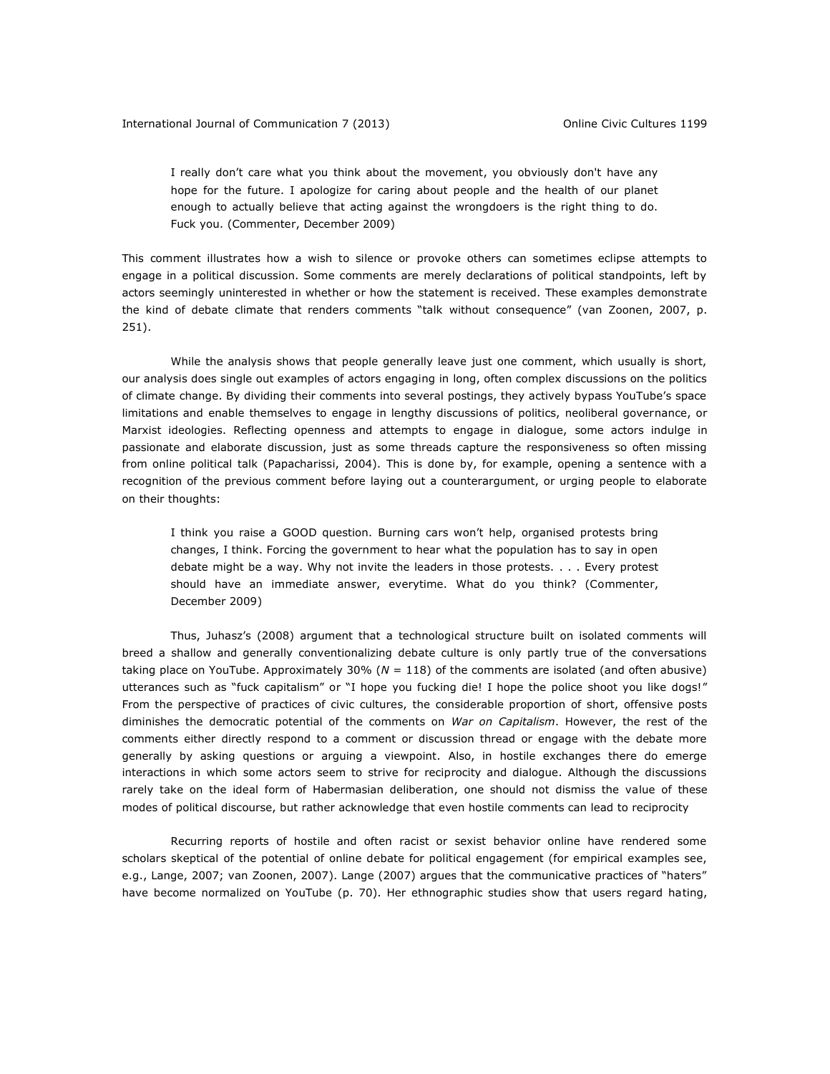I really don't care what you think about the movement, you obviously don't have any hope for the future. I apologize for caring about people and the health of our planet enough to actually believe that acting against the wrongdoers is the right thing to do. Fuck you. (Commenter, December 2009)

This comment illustrates how a wish to silence or provoke others can sometimes eclipse attempts to engage in a political discussion. Some comments are merely declarations of political standpoints, left by actors seemingly uninterested in whether or how the statement is received. These examples demonstrate the kind of debate climate that renders comments "talk without consequence" (van Zoonen, 2007, p. 251).

While the analysis shows that people generally leave just one comment, which usually is short, our analysis does single out examples of actors engaging in long, often complex discussions on the politics of climate change. By dividing their comments into several postings, they actively bypass YouTube's space limitations and enable themselves to engage in lengthy discussions of politics, neoliberal governance, or Marxist ideologies. Reflecting openness and attempts to engage in dialogue, some actors indulge in passionate and elaborate discussion, just as some threads capture the responsiveness so often missing from online political talk (Papacharissi, 2004). This is done by, for example, opening a sentence with a recognition of the previous comment before laying out a counterargument, or urging people to elaborate on their thoughts:

I think you raise a GOOD question. Burning cars won't help, organised protests bring changes, I think. Forcing the government to hear what the population has to say in open debate might be a way. Why not invite the leaders in those protests. . . . Every protest should have an immediate answer, everytime. What do you think? (Commenter, December 2009)

Thus, Juhasz's (2008) argument that a technological structure built on isolated comments will breed a shallow and generally conventionalizing debate culture is only partly true of the conversations taking place on YouTube. Approximately 30% (*N* = 118) of the comments are isolated (and often abusive) utterances such as "fuck capitalism" or "I hope you fucking die! I hope the police shoot you like dogs!" From the perspective of practices of civic cultures, the considerable proportion of short, offensive posts diminishes the democratic potential of the comments on *War on Capitalism*. However, the rest of the comments either directly respond to a comment or discussion thread or engage with the debate more generally by asking questions or arguing a viewpoint. Also, in hostile exchanges there do emerge interactions in which some actors seem to strive for reciprocity and dialogue. Although the discussions rarely take on the ideal form of Habermasian deliberation, one should not dismiss the value of these modes of political discourse, but rather acknowledge that even hostile comments can lead to reciprocity

Recurring reports of hostile and often racist or sexist behavior online have rendered some scholars skeptical of the potential of online debate for political engagement (for empirical examples see, e.g., Lange, 2007; van Zoonen, 2007). Lange (2007) argues that the communicative practices of "haters" have become normalized on YouTube (p. 70). Her ethnographic studies show that users regard hating,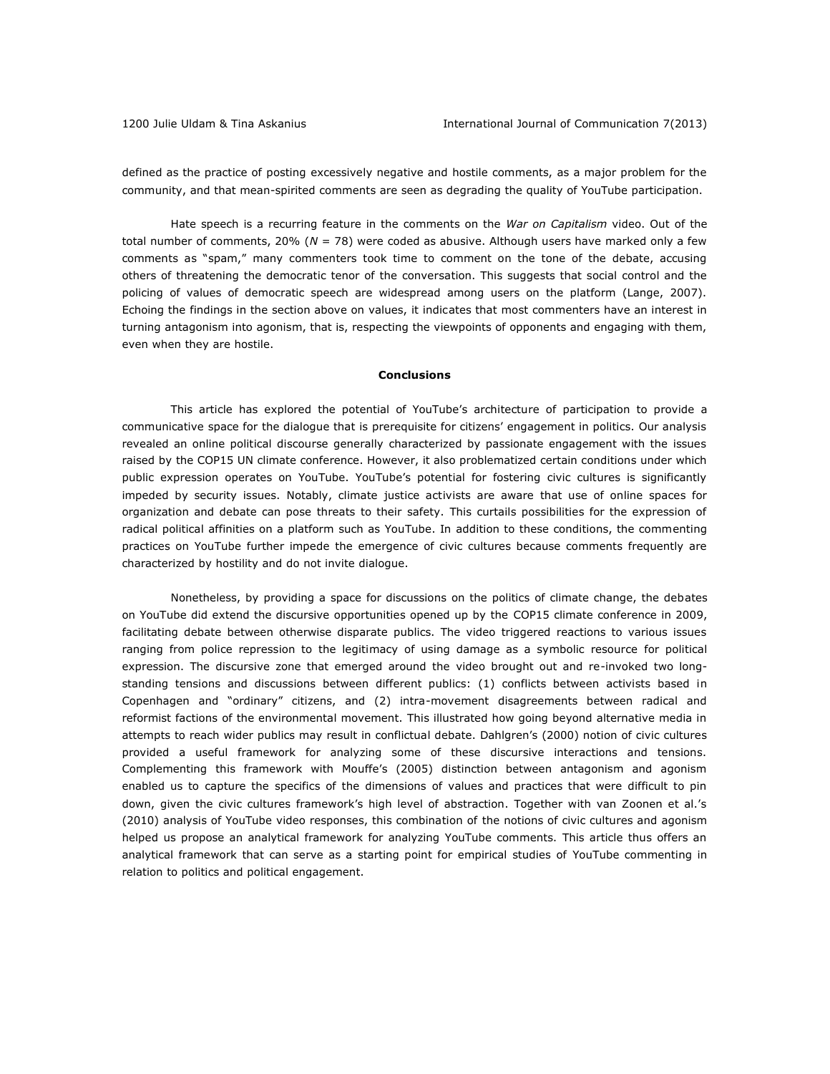defined as the practice of posting excessively negative and hostile comments, as a major problem for the community, and that mean-spirited comments are seen as degrading the quality of YouTube participation.

Hate speech is a recurring feature in the comments on the *War on Capitalism* video. Out of the total number of comments, 20% (*N* = 78) were coded as abusive. Although users have marked only a few comments as "spam," many commenters took time to comment on the tone of the debate, accusing others of threatening the democratic tenor of the conversation. This suggests that social control and the policing of values of democratic speech are widespread among users on the platform (Lange, 2007). Echoing the findings in the section above on values, it indicates that most commenters have an interest in turning antagonism into agonism, that is, respecting the viewpoints of opponents and engaging with them, even when they are hostile.

#### **Conclusions**

This article has explored the potential of YouTube's architecture of participation to provide a communicative space for the dialogue that is prerequisite for citizens' engagement in politics. Our analysis revealed an online political discourse generally characterized by passionate engagement with the issues raised by the COP15 UN climate conference. However, it also problematized certain conditions under which public expression operates on YouTube. YouTube's potential for fostering civic cultures is significantly impeded by security issues. Notably, climate justice activists are aware that use of online spaces for organization and debate can pose threats to their safety. This curtails possibilities for the expression of radical political affinities on a platform such as YouTube. In addition to these conditions, the commenting practices on YouTube further impede the emergence of civic cultures because comments frequently are characterized by hostility and do not invite dialogue.

Nonetheless, by providing a space for discussions on the politics of climate change, the debates on YouTube did extend the discursive opportunities opened up by the COP15 climate conference in 2009, facilitating debate between otherwise disparate publics. The video triggered reactions to various issues ranging from police repression to the legitimacy of using damage as a symbolic resource for political expression. The discursive zone that emerged around the video brought out and re-invoked two longstanding tensions and discussions between different publics: (1) conflicts between activists based in Copenhagen and "ordinary" citizens, and (2) intra-movement disagreements between radical and reformist factions of the environmental movement. This illustrated how going beyond alternative media in attempts to reach wider publics may result in conflictual debate. Dahlgren's (2000) notion of civic cultures provided a useful framework for analyzing some of these discursive interactions and tensions. Complementing this framework with Mouffe's (2005) distinction between antagonism and agonism enabled us to capture the specifics of the dimensions of values and practices that were difficult to pin down, given the civic cultures framework's high level of abstraction. Together with van Zoonen et al.'s (2010) analysis of YouTube video responses, this combination of the notions of civic cultures and agonism helped us propose an analytical framework for analyzing YouTube comments. This article thus offers an analytical framework that can serve as a starting point for empirical studies of YouTube commenting in relation to politics and political engagement.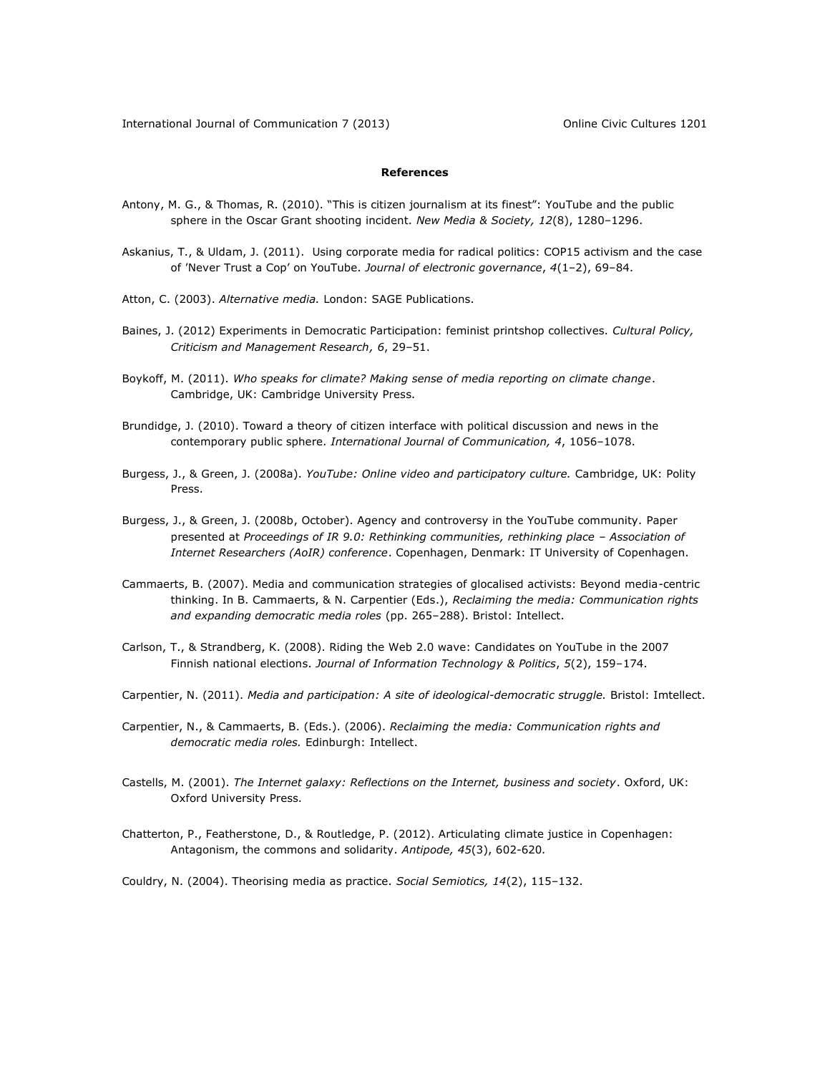#### **References**

- Antony, M. G., & Thomas, R. (2010). "This is citizen journalism at its finest": YouTube and the public sphere in the Oscar Grant shooting incident. *New Media & Society, 12*(8), 1280–1296.
- Askanius, T., & Uldam, J. (2011). Using corporate media for radical politics: COP15 activism and the case of 'Never Trust a Cop' on YouTube. *Journal of electronic governance*, *4*(1–2), 69–84.
- Atton, C. (2003). *Alternative media.* London: SAGE Publications.
- Baines, J. (2012) Experiments in Democratic Participation: feminist printshop collectives. *Cultural Policy, Criticism and Management Research, 6*, 29–51.
- Boykoff, M. (2011). *Who speaks for climate? Making sense of media reporting on climate change*. Cambridge, UK: Cambridge University Press.
- Brundidge, J. (2010). Toward a theory of citizen interface with political discussion and news in the contemporary public sphere. *International Journal of Communication, 4*, 1056–1078.
- Burgess, J., & Green, J. (2008a). *YouTube: Online video and participatory culture.* Cambridge, UK: Polity Press.
- Burgess, J., & Green, J. (2008b, October). Agency and controversy in the YouTube community*.* Paper presented at *Proceedings of IR 9.0: Rethinking communities, rethinking place - Association of Internet Researchers (AoIR) conference*. Copenhagen, Denmark: IT University of Copenhagen.
- Cammaerts, B. (2007). Media and communication strategies of glocalised activists: Beyond media-centric thinking. In B. Cammaerts, & N. Carpentier (Eds.), *Reclaiming the media: Communication rights and expanding democratic media roles* (pp. 265–288). Bristol: Intellect.
- Carlson, T., & Strandberg, K. (2008). Riding the Web 2.0 wave: Candidates on YouTube in the 2007 Finnish national elections. *Journal of Information Technology & Politics*, *5*(2), 159–174.
- Carpentier, N. (2011). *Media and participation: A site of ideological-democratic struggle.* Bristol: Imtellect.
- Carpentier, N., & Cammaerts, B. (Eds.). (2006). *Reclaiming the media: Communication rights and democratic media roles.* Edinburgh: Intellect.
- Castells, M. (2001). *The Internet galaxy: Reflections on the Internet, business and society*. Oxford, UK: Oxford University Press.
- Chatterton, P., Featherstone, D., & Routledge, P. (2012). Articulating climate justice in Copenhagen: Antagonism, the commons and solidarity. *Antipode, 45*(3), 602-620*.*

Couldry, N. (2004). Theorising media as practice. *Social Semiotics, 14*(2), 115–132.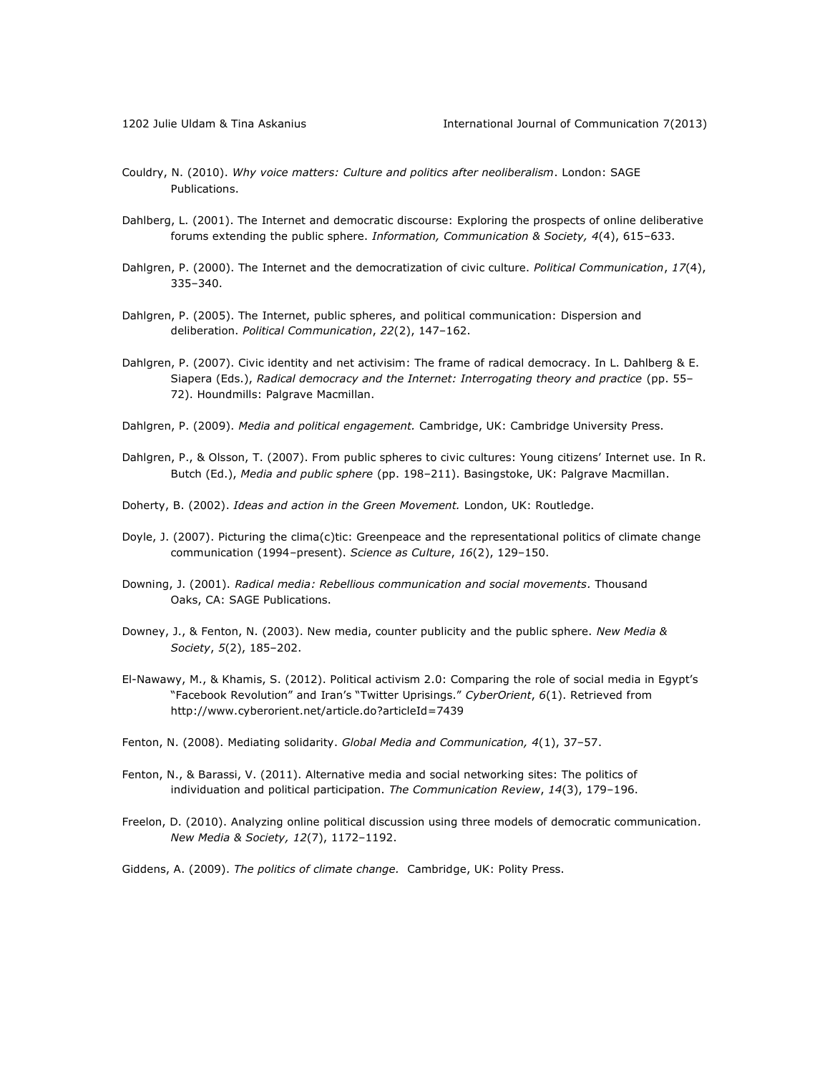- Couldry, N. (2010). *Why voice matters: Culture and politics after neoliberalism*. London: SAGE Publications.
- Dahlberg, L. (2001). The Internet and democratic discourse: Exploring the prospects of online deliberative forums extending the public sphere. *Information, Communication & Society, 4*(4), 615–633.
- Dahlgren, P. (2000). The Internet and the democratization of civic culture. *Political Communication*, *17*(4), 335–340.
- Dahlgren, P. (2005). The Internet, public spheres, and political communication: Dispersion and deliberation. *Political Communication*, *22*(2), 147–162.
- Dahlgren, P. (2007). Civic identity and net activisim: The frame of radical democracy. In L. Dahlberg & E. Siapera (Eds.), *Radical democracy and the Internet: Interrogating theory and practice* (pp. 55– 72). Houndmills: Palgrave Macmillan.
- Dahlgren, P. (2009). *Media and political engagement.* Cambridge, UK: Cambridge University Press.
- Dahlgren, P., & Olsson, T. (2007). From public spheres to civic cultures: Young citizens' Internet use. In R. Butch (Ed.), *Media and public sphere* (pp. 198–211). Basingstoke, UK: Palgrave Macmillan.
- Doherty, B. (2002). *Ideas and action in the Green Movement.* London, UK: Routledge.
- Doyle, J. (2007). Picturing the clima(c)tic: Greenpeace and the representational politics of climate change communication (1994–present). *Science as Culture*, *16*(2), 129–150.
- Downing, J. (2001). *Radical media: Rebellious communication and social movements.* Thousand Oaks, CA: SAGE Publications.
- Downey, J., & Fenton, N. (2003). New media, counter publicity and the public sphere. *New Media & Society*, *5*(2), 185–202.
- El-Nawawy, M., & Khamis, S. (2012). Political activism 2.0: Comparing the role of social media in Egypt's "Facebook Revolution" and Iran's "Twitter Uprisings." *CyberOrient*, *6*(1). Retrieved from <http://www.cyberorient.net/article.do?articleId=7439>
- Fenton, N. (2008). Mediating solidarity. *Global Media and Communication, 4*(1), 37–57.
- Fenton, N., & Barassi, V. (2011). Alternative media and social networking sites: The politics of individuation and political participation. *The Communication Review*, *14*(3), 179–196.
- Freelon, D. (2010). Analyzing online political discussion using three models of democratic communication*. New Media & Society, 12*(7), 1172–1192.
- Giddens, A. (2009). *The politics of climate change.* Cambridge, UK: Polity Press.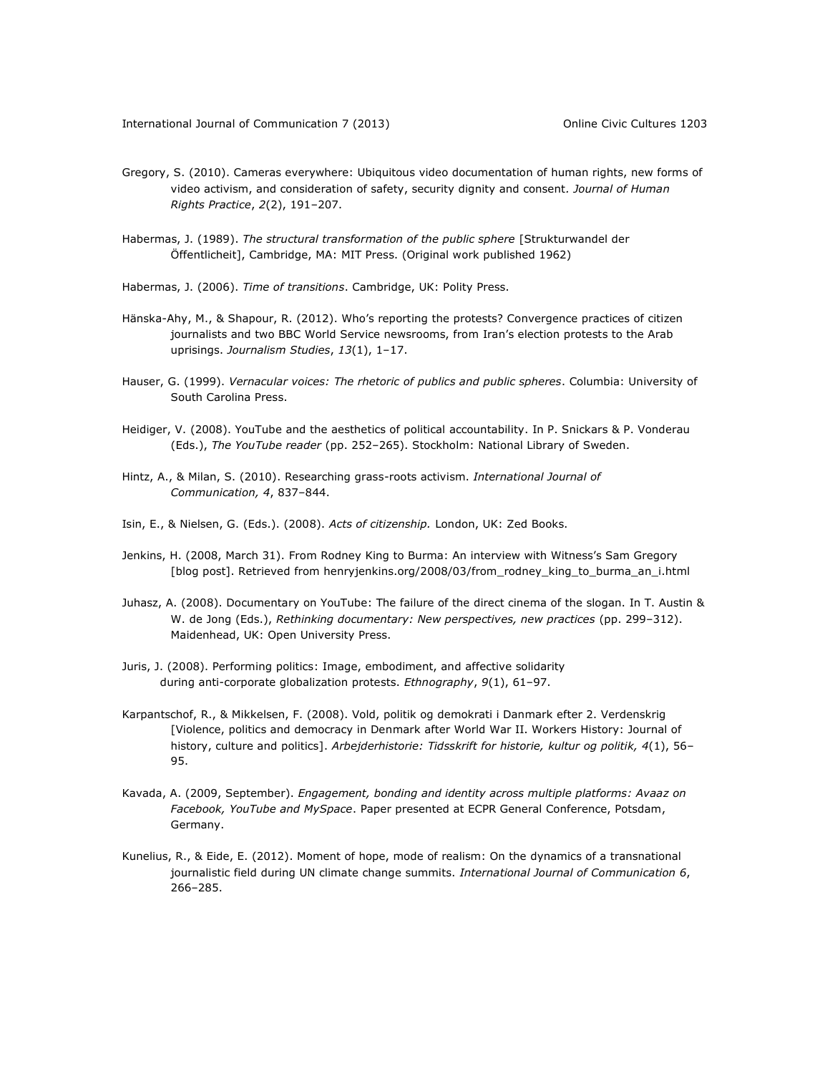- Gregory, S. (2010). Cameras everywhere: Ubiquitous video documentation of human rights, new forms of video activism, and consideration of safety, security dignity and consent*. Journal of Human Rights Practice*, *2*(2), 191–207.
- Habermas, J. (1989). *The structural transformation of the public sphere* [Strukturwandel der Öffentlicheit], Cambridge, MA: MIT Press. (Original work published 1962)
- Habermas, J. (2006). *Time of transitions*. Cambridge, UK: Polity Press.
- Hänska-Ahy, M., & Shapour, R. (2012). Who's reporting the protests? Convergence practices of citizen journalists and two BBC World Service newsrooms, from Iran's election protests to the Arab uprisings. *Journalism Studies*, *13*(1), 1–17.
- Hauser, G. (1999). *Vernacular voices: The rhetoric of publics and public spheres*. Columbia: University of South Carolina Press.
- Heidiger, V. (2008). YouTube and the aesthetics of political accountability. In P. Snickars & P. Vonderau (Eds.), *The YouTube reader* (pp. 252–265). Stockholm: National Library of Sweden.
- Hintz, A., & Milan, S. (2010). Researching grass-roots activism. *International Journal of Communication, 4*, 837–844.
- Isin, E., & Nielsen, G. (Eds.). (2008). *Acts of citizenship.* London, UK: Zed Books.
- Jenkins, H. (2008, March 31). From Rodney King to Burma: An interview with Witness's Sam Gregory [blog post]. Retrieved from [henryjenkins.org/2008/03/from\\_rodney\\_king\\_to\\_burma\\_an\\_i.html](http://henryjenkins.org/2008/03/from_rodney_king_to_burma_an_i.html)
- Juhasz, A. (2008). Documentary on YouTube: The failure of the direct cinema of the slogan. In T. Austin & W. de Jong (Eds.), *Rethinking documentary: New perspectives, new practices* (pp. 299–312). Maidenhead, UK: Open University Press.
- Juris, J. (2008). Performing politics: Image, embodiment, and affective solidarity during anti-corporate globalization protests. *Ethnography*, *9*(1), 61–97.
- Karpantschof, R., & Mikkelsen, F. (2008). Vold, politik og demokrati i Danmark efter 2. Verdenskrig [Violence, politics and democracy in Denmark after World War II. Workers History: Journal of history, culture and politics]. *Arbejderhistorie: Tidsskrift for historie, kultur og politik, 4*(1), 56– 95.
- Kavada, A. (2009, September). *Engagement, bonding and identity across multiple platforms: Avaaz on Facebook, YouTube and MySpace*. Paper presented at ECPR General Conference, Potsdam, Germany.
- Kunelius, R., & Eide, E. (2012). Moment of hope, mode of realism: On the dynamics of a transnational journalistic field during UN climate change summits. *International Journal of Communication 6*, 266–285.